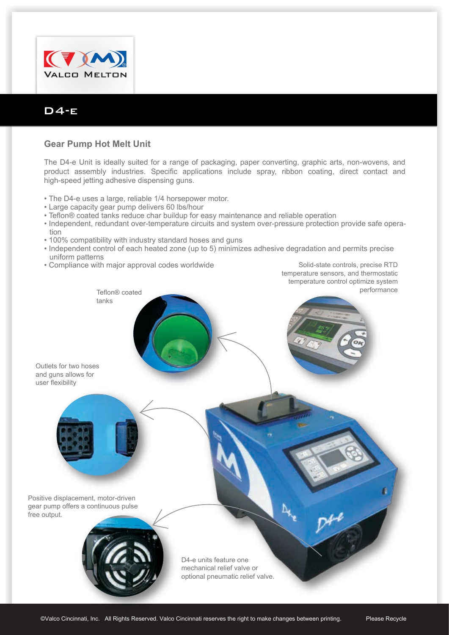

## D4-e

## **Gear Pump Hot Melt Unit**

The D4-e Unit is ideally suited for a range of packaging, paper converting, graphic arts, non-wovens, and product assembly industries. Specific applications include spray, ribbon coating, direct contact and high-speed jetting adhesive dispensing guns.

- The D4-e uses a large, reliable 1/4 horsepower motor.
- Large capacity gear pump delivers 60 lbs/hour
- Teflon® coated tanks reduce char buildup for easy maintenance and reliable operation
- Independent, redundant over-temperature circuits and system over-pressure protection provide safe operation
- 100% compatibility with industry standard hoses and guns
- Independent control of each heated zone (up to 5) minimizes adhesive degradation and permits precise uniform patterns
- Compliance with major approval codes worldwide

Solid-state controls, precise RTD temperature sensors, and thermostatic temperature control optimize system performance

Teflon® coated tanks

Outlets for two hoses and guns allows for user flexibility



Positive displacement, motor-driven gear pump offers a continuous pulse free output.



D4-e units feature one mechanical relief valve or optional pneumatic relief valve.